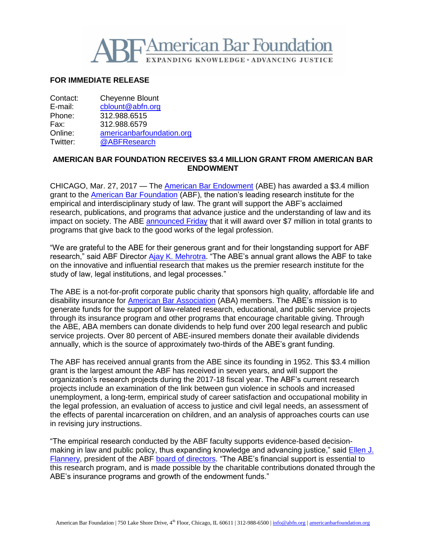

## **FOR IMMEDIATE RELEASE**

Contact: Cheyenne Blount E-mail: [cblount@abfn.org](mailto:cblount@abfn.org) Phone: 312.988.6515 Fax: 312.988.6579 Online: [americanbarfoundation.org](http://www.americanbarfoundation.org/) Twitter: [@ABFResearch](https://twitter.com/ABFResearch)

## **AMERICAN BAR FOUNDATION RECEIVES \$3.4 MILLION GRANT FROM AMERICAN BAR ENDOWMENT**

CHICAGO, Mar. 27, 2017 — The [American Bar Endowment](http://www.abendowment.org/) (ABE) has awarded a \$3.4 million grant to the [American Bar Foundation](http://www.americanbarfoundation.org/index.html) (ABF), the nation's leading research institute for the empirical and interdisciplinary study of law. The grant will support the ABF's acclaimed research, publications, and programs that advance justice and the understanding of law and its impact on society. The ABE [announced Friday](http://blog.abendowment.org/2017_grants) that it will award over \$7 million in total grants to programs that give back to the good works of the legal profession.

"We are grateful to the ABE for their generous grant and for their longstanding support for ABF research," said ABF Director [Ajay K. Mehrotra.](http://www.americanbarfoundation.org/faculty/profile/46) "The ABE's annual grant allows the ABF to take on the innovative and influential research that makes us the premier research institute for the study of law, legal institutions, and legal processes."

The ABE is a not-for-profit corporate public charity that sponsors high quality, affordable life and disability insurance for [American Bar Association](http://www.americanbar.org/) (ABA) members. The ABE's mission is to generate funds for the support of law-related research, educational, and public service projects through its insurance program and other programs that encourage charitable giving. Through the ABE, ABA members can donate dividends to help fund over 200 legal research and public service projects. Over 80 percent of ABE-insured members donate their available dividends annually, which is the source of approximately two-thirds of the ABE's grant funding.

The ABF has received annual grants from the ABE since its founding in 1952. This \$3.4 million grant is the largest amount the ABF has received in seven years, and will support the organization's research projects during the 2017-18 fiscal year. The ABF's current research projects include an examination of the link between gun violence in schools and increased unemployment, a long-term, empirical study of career satisfaction and occupational mobility in the legal profession, an evaluation of access to justice and civil legal needs, an assessment of the effects of parental incarceration on children, and an analysis of approaches courts can use in revising jury instructions.

"The empirical research conducted by the ABF faculty supports evidence-based decisionmaking in law and public policy, thus expanding knowledge and advancing justice," said [Ellen J.](https://www.cov.com/en/professionals/f/ellen-flannery)  [Flannery,](https://www.cov.com/en/professionals/f/ellen-flannery) president of the ABF [board of directors.](http://www.americanbarfoundation.org/about/Officersdirectors/Board_of_Directors0.html) "The ABE's financial support is essential to this research program, and is made possible by the charitable contributions donated through the ABE's insurance programs and growth of the endowment funds."